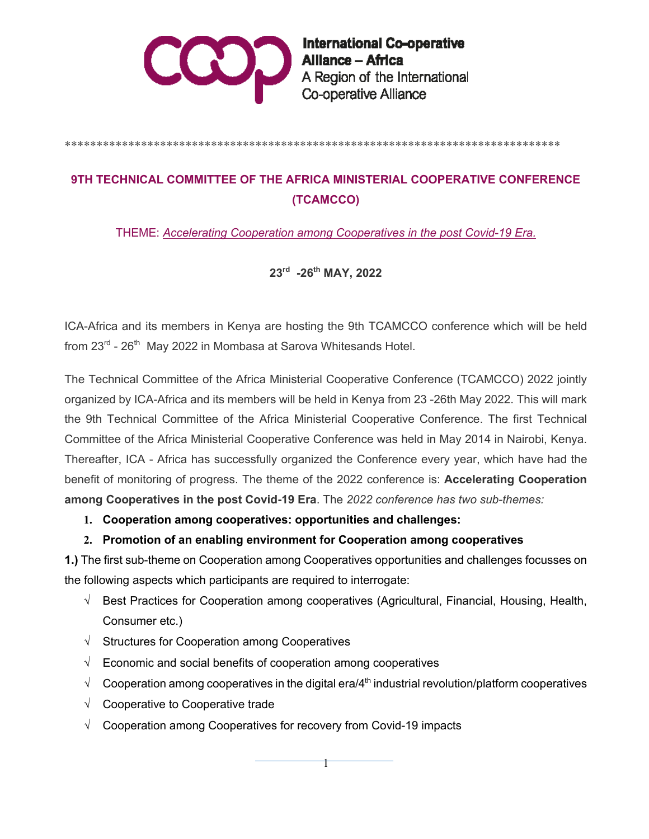

International Co-operative<br>Alliance – Africa<br>A Region of the International Co-operative Alliance

#### \*\*\*\*\*\*\*\*\*\*\*\*\*\*\*\*\*\*\*\*\*\*\*\*\*\*\*\*\*\*\*\*\*\*\*\*\*\*\*\*\*\*\*\*\*\*\*\*\*\*\*\*\*\*\*\*\*\*\*\*\*\*\*\*\*\*\*\*\*\*\*\*\*\*\*\*\*\*

# **9TH TECHNICAL COMMITTEE OF THE AFRICA MINISTERIAL COOPERATIVE CONFERENCE (TCAMCCO)**

THEME: *Accelerating Cooperation among Cooperatives in the post Covid-19 Era.*

## **23rd -26th MAY, 2022**

ICA-Africa and its members in Kenya are hosting the 9th TCAMCCO conference which will be held from 23<sup>rd</sup> - 26<sup>th</sup> May 2022 in Mombasa at Sarova Whitesands Hotel.

The Technical Committee of the Africa Ministerial Cooperative Conference (TCAMCCO) 2022 jointly organized by ICA-Africa and its members will be held in Kenya from 23 -26th May 2022. This will mark the 9th Technical Committee of the Africa Ministerial Cooperative Conference. The first Technical Committee of the Africa Ministerial Cooperative Conference was held in May 2014 in Nairobi, Kenya. Thereafter, ICA - Africa has successfully organized the Conference every year, which have had the benefit of monitoring of progress. The theme of the 2022 conference is: **Accelerating Cooperation among Cooperatives in the post Covid-19 Era**. The *2022 conference has two sub-themes:*

#### **1. Cooperation among cooperatives: opportunities and challenges:**

#### **2. Promotion of an enabling environment for Cooperation among cooperatives**

**1.)** The first sub-theme on Cooperation among Cooperatives opportunities and challenges focusses on the following aspects which participants are required to interrogate:

- $\sqrt{\phantom{a}}$  Best Practices for Cooperation among cooperatives (Agricultural, Financial, Housing, Health, Consumer etc.)
- $\sqrt{\phantom{a}}$  Structures for Cooperation among Cooperatives
- $\sqrt{\phantom{a}}$  Economic and social benefits of cooperation among cooperatives
- $\sqrt{\phantom{a}}$  Cooperation among cooperatives in the digital era/4<sup>th</sup> industrial revolution/platform cooperatives

 $\mathsf{+}$ 

- $\sqrt{ }$  Cooperative to Cooperative trade
- $\sqrt{ }$  Cooperation among Cooperatives for recovery from Covid-19 impacts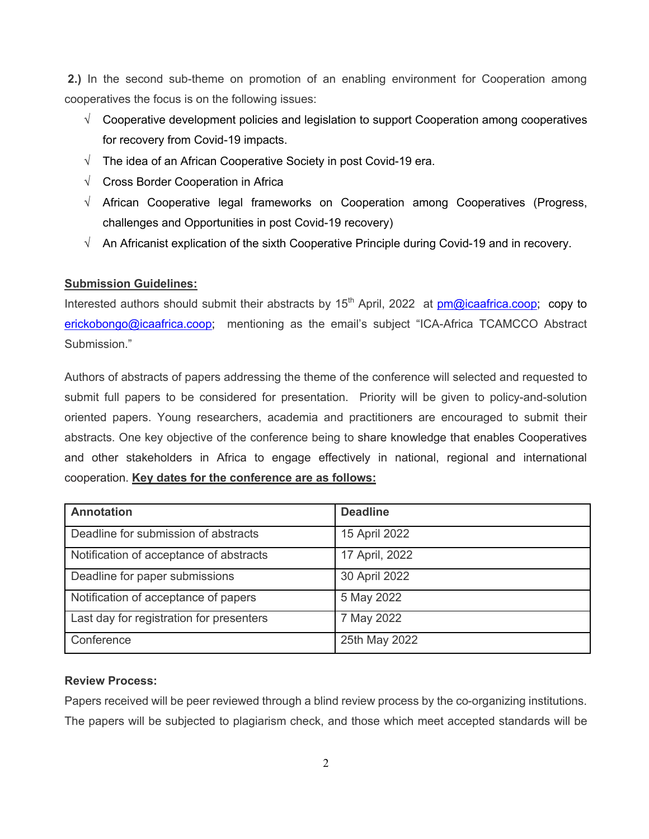**2.)** In the second sub-theme on promotion of an enabling environment for Cooperation among cooperatives the focus is on the following issues:

- $\sqrt{\phantom{a}}$  Cooperative development policies and legislation to support Cooperation among cooperatives for recovery from Covid-19 impacts.
- $\sqrt{ }$  The idea of an African Cooperative Society in post Covid-19 era.
- $\sqrt{ }$  Cross Border Cooperation in Africa
- $\sqrt{ }$  African Cooperative legal frameworks on Cooperation among Cooperatives (Progress, challenges and Opportunities in post Covid-19 recovery)
- $\sqrt{\phantom{a}}$  An Africanist explication of the sixth Cooperative Principle during Covid-19 and in recovery.

#### **Submission Guidelines:**

Interested authors should submit their abstracts by  $15<sup>th</sup>$  April, 2022 at pm@icaafrica.coop; copy to erickobongo@icaafrica.coop; mentioning as the email's subject "ICA-Africa TCAMCCO Abstract Submission."

Authors of abstracts of papers addressing the theme of the conference will selected and requested to submit full papers to be considered for presentation. Priority will be given to policy-and-solution oriented papers. Young researchers, academia and practitioners are encouraged to submit their abstracts. One key objective of the conference being to share knowledge that enables Cooperatives and other stakeholders in Africa to engage effectively in national, regional and international cooperation. **Key dates for the conference are as follows:**

| <b>Annotation</b>                        | <b>Deadline</b> |
|------------------------------------------|-----------------|
| Deadline for submission of abstracts     | 15 April 2022   |
| Notification of acceptance of abstracts  | 17 April, 2022  |
| Deadline for paper submissions           | 30 April 2022   |
| Notification of acceptance of papers     | 5 May 2022      |
| Last day for registration for presenters | 7 May 2022      |
| Conference                               | 25th May 2022   |

#### **Review Process:**

Papers received will be peer reviewed through a blind review process by the co-organizing institutions. The papers will be subjected to plagiarism check, and those which meet accepted standards will be